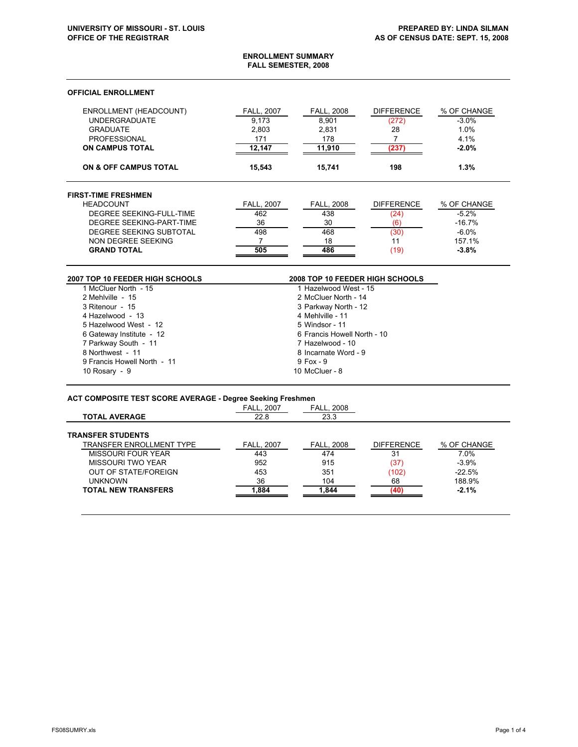#### **ENROLLMENT SUMMARY FALL SEMESTER, 2008**

## **OFFICIAL ENROLLMENT**

 $\overline{a}$ 

| <b>ENROLLMENT (HEADCOUNT)</b><br><b>UNDERGRADUATE</b><br><b>GRADUATE</b><br><b>PROFESSIONAL</b><br><b>ON CAMPUS TOTAL</b> | <b>FALL, 2007</b><br>9.173<br>2,803<br>171<br>12.147 | <b>FALL, 2008</b><br>8.901<br>2.831<br>178<br>11.910 | <b>DIFFERENCE</b><br>(272)<br>28<br>(237) | % OF CHANGE<br>$-3.0%$<br>1.0%<br>4.1%<br>$-2.0%$ |
|---------------------------------------------------------------------------------------------------------------------------|------------------------------------------------------|------------------------------------------------------|-------------------------------------------|---------------------------------------------------|
| ON & OFF CAMPUS TOTAL                                                                                                     | 15.543                                               | 15.741                                               | 198                                       | 1.3%                                              |
| <b>FIRST-TIME FRESHMEN</b>                                                                                                |                                                      |                                                      |                                           |                                                   |
| <b>HEADCOUNT</b>                                                                                                          | <b>FALL, 2007</b>                                    | <b>FALL, 2008</b>                                    | <b>DIFFERENCE</b>                         | % OF CHANGE                                       |
| DEGREE SEEKING-FULL-TIME                                                                                                  | 462                                                  | 438                                                  | (24)                                      | $-5.2%$                                           |
| DEGREE SEEKING-PART-TIME                                                                                                  | 36                                                   | 30                                                   | (6)                                       | $-16.7%$                                          |
| DEGREE SEEKING SUBTOTAL                                                                                                   | 498                                                  | 468                                                  | (30)                                      | $-6.0\%$                                          |
| NON DEGREE SEEKING                                                                                                        |                                                      | 18                                                   | 11                                        | 157.1%                                            |
| <b>GRAND TOTAL</b>                                                                                                        | 505                                                  | 486                                                  | (19)                                      | $-3.8%$                                           |

| <b>2007 TOP 10 FEEDER HIGH SCHOOLS</b> | <b>2008 TOP 10 FEEDER HIGH SCHOOLS</b> |
|----------------------------------------|----------------------------------------|
| 1 McCluer North - 15                   | 1 Hazelwood West - 15                  |
| 2 Mehlville - 15                       | 2 McCluer North - 14                   |
| 3 Ritenour - 15                        | 3 Parkway North - 12                   |
| 4 Hazelwood - 13                       | 4 Mehlville - 11                       |
| 5 Hazelwood West - 12                  | 5 Windsor - 11                         |
| 6 Gateway Institute - 12               | 6 Francis Howell North - 10            |
| 7 Parkway South - 11                   | 7 Hazelwood - 10                       |
| 8 Northwest - 11                       | 8 Incarnate Word - 9                   |
| 9 Francis Howell North - 11            | $9$ Fox - $9$                          |
| 10 Rosary - 9                          | 10 McCluer - 8                         |

#### **ACT COMPOSITE TEST SCORE AVERAGE - Degree Seeking Freshmen**

|                                 | <b>FALL. 2007</b> | <b>FALL, 2008</b> |                   |             |
|---------------------------------|-------------------|-------------------|-------------------|-------------|
| <b>TOTAL AVERAGE</b>            | 22.8              | 23.3              |                   |             |
| <b>TRANSFER STUDENTS</b>        |                   |                   |                   |             |
| <b>TRANSFER ENROLLMENT TYPE</b> | <b>FALL. 2007</b> | <b>FALL, 2008</b> | <b>DIFFERENCE</b> | % OF CHANGE |
| MISSOURI FOUR YEAR              | 443               | 474               | 31                | 7.0%        |
| MISSOURI TWO YEAR               | 952               | 915               | (37)              | $-3.9%$     |
| <b>OUT OF STATE/FOREIGN</b>     | 453               | 351               | (102)             | $-22.5%$    |
| <b>UNKNOWN</b>                  | 36                | 104               | 68                | 188.9%      |
| <b>TOTAL NEW TRANSFERS</b>      | 1.884             | 1.844             |                   | $-2.1%$     |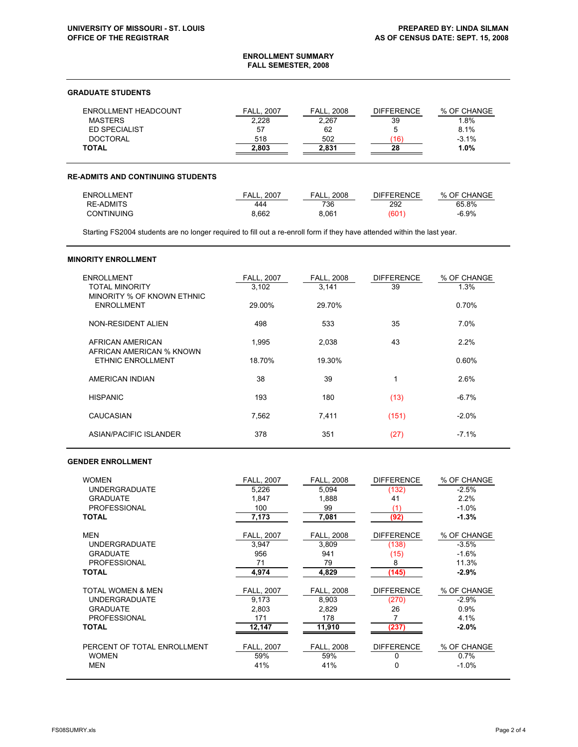#### **ENROLLMENT SUMMARY FALL SEMESTER, 2008**

# **GRADUATE STUDENTS**

| ENROLLMENT HEADCOUNT | <b>FALL. 2007</b> | <b>FALL, 2008</b> | <b>DIFFERENCE</b> | % OF CHANGE |
|----------------------|-------------------|-------------------|-------------------|-------------|
| <b>MASTERS</b>       | 2.228             | 2.267             | 39                | .8%         |
| <b>ED SPECIALIST</b> | 57                | 62                | 5                 | 8.1%        |
| <b>DOCTORAL</b>      | 518               | 502               | 16                | $-3.1%$     |
| TOTAL                | 2.803             | 2.831             | 28                | 1.0%        |

### **RE-ADMITS AND CONTINUING STUDENTS**

| ENROLLMENT        | 2007<br>FALL. | 2008<br>FALL. | DIFFERENCE | % OF CHANGE |
|-------------------|---------------|---------------|------------|-------------|
| <b>RE-ADMITS</b>  | 444           | 736           | 292        | 65.8%       |
| <b>CONTINUING</b> | 8.662         | 8.061         | (601       | $-6.9%$     |

Starting FS2004 students are no longer required to fill out a re-enroll form if they have attended within the last year.

#### **MINORITY ENROLLMENT**

| <b>ENROLLMENT</b><br><b>TOTAL MINORITY</b><br>MINORITY % OF KNOWN ETHNIC | <b>FALL, 2007</b><br>3,102 | <b>FALL, 2008</b><br>3,141 | <b>DIFFERENCE</b><br>39 | % OF CHANGE<br>1.3% |
|--------------------------------------------------------------------------|----------------------------|----------------------------|-------------------------|---------------------|
| <b>ENROLLMENT</b>                                                        | 29.00%                     | 29.70%                     |                         | 0.70%               |
| NON-RESIDENT ALIEN                                                       | 498                        | 533                        | 35                      | 7.0%                |
| AFRICAN AMERICAN<br>AFRICAN AMERICAN % KNOWN                             | 1,995                      | 2,038                      | 43                      | 2.2%                |
| ETHNIC ENROLLMENT                                                        | 18.70%                     | 19.30%                     |                         | 0.60%               |
| AMERICAN INDIAN                                                          | 38                         | 39                         |                         | 2.6%                |
| <b>HISPANIC</b>                                                          | 193                        | 180                        | (13)                    | $-6.7%$             |
| CAUCASIAN                                                                | 7,562                      | 7,411                      | (151)                   | $-2.0%$             |
| ASIAN/PACIFIC ISI ANDER                                                  | 378                        | 351                        | (27)                    | $-7.1%$             |

# **GENDER ENROLLMENT**

| <b>WOMEN</b>                | <b>FALL. 2007</b> | <b>FALL. 2008</b> | <b>DIFFERENCE</b> | % OF CHANGE |
|-----------------------------|-------------------|-------------------|-------------------|-------------|
| <b>UNDERGRADUATE</b>        | 5,226             | 5,094             | (132)             | $-2.5%$     |
| <b>GRADUATE</b>             | 1.847             | 1.888             | 41                | 2.2%        |
| <b>PROFESSIONAL</b>         | 100               | 99                | (1)               | $-1.0%$     |
| <b>TOTAL</b>                | 7,173             | 7,081             | (92)              | $-1.3%$     |
| MEN                         | <b>FALL, 2007</b> | FALL, 2008        | <b>DIFFERENCE</b> | % OF CHANGE |
| <b>UNDERGRADUATE</b>        | 3.947             | 3,809             | (138)             | $-3.5%$     |
| <b>GRADUATE</b>             | 956               | 941               | (15)              | $-1.6%$     |
| <b>PROFESSIONAL</b>         | 71                | 79                | 8                 | 11.3%       |
| <b>TOTAL</b>                | 4,974             | 4,829             | (145)             | -2.9%       |
| TOTAL WOMEN & MEN           | FALL, 2007        | FALL, 2008        | <b>DIFFERENCE</b> | % OF CHANGE |
| <b>UNDERGRADUATE</b>        | 9,173             | 8,903             | (270)             | $-2.9%$     |
| <b>GRADUATE</b>             | 2.803             | 2.829             | 26                | 0.9%        |
| <b>PROFESSIONAL</b>         | 171               | 178               |                   | 4.1%        |
| <b>TOTAL</b>                | 12,147            | 11,910            | (237)             | $-2.0\%$    |
| PERCENT OF TOTAL ENROLLMENT | FALL, 2007        | <b>FALL, 2008</b> | <b>DIFFERENCE</b> | % OF CHANGE |
| <b>WOMEN</b>                | 59%               | 59%               | 0                 | 0.7%        |
| <b>MEN</b>                  | 41%               | 41%               | 0                 | $-1.0\%$    |